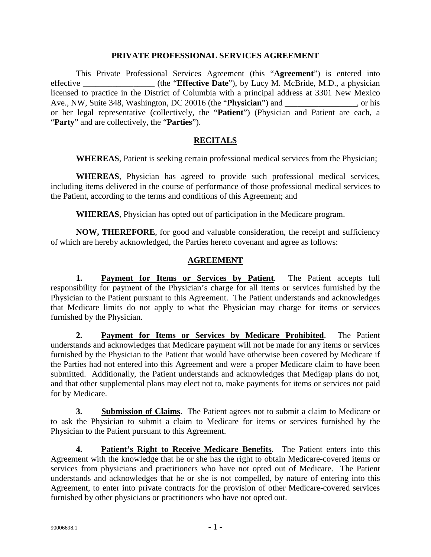#### **PRIVATE PROFESSIONAL SERVICES AGREEMENT**

This Private Professional Services Agreement (this "**Agreement**") is entered into effective \_\_\_\_\_\_\_\_\_\_\_\_\_\_\_\_\_ (the "**Effective Date**"), by Lucy M. McBride, M.D., a physician licensed to practice in the District of Columbia with a principal address at 3301 New Mexico Ave., NW, Suite 348, Washington, DC 20016 (the "**Physician**") and \_\_\_\_\_\_\_\_\_, or his or her legal representative (collectively, the "**Patient**") (Physician and Patient are each, a "**Party**" and are collectively, the "**Parties**").

### **RECITALS**

**WHEREAS**, Patient is seeking certain professional medical services from the Physician;

**WHEREAS**, Physician has agreed to provide such professional medical services, including items delivered in the course of performance of those professional medical services to the Patient, according to the terms and conditions of this Agreement; and

**WHEREAS**, Physician has opted out of participation in the Medicare program.

**NOW, THEREFORE**, for good and valuable consideration, the receipt and sufficiency of which are hereby acknowledged, the Parties hereto covenant and agree as follows:

### **AGREEMENT**

**1. Payment for Items or Services by Patient**. The Patient accepts full responsibility for payment of the Physician's charge for all items or services furnished by the Physician to the Patient pursuant to this Agreement. The Patient understands and acknowledges that Medicare limits do not apply to what the Physician may charge for items or services furnished by the Physician.

**2. Payment for Items or Services by Medicare Prohibited**. The Patient understands and acknowledges that Medicare payment will not be made for any items or services furnished by the Physician to the Patient that would have otherwise been covered by Medicare if the Parties had not entered into this Agreement and were a proper Medicare claim to have been submitted. Additionally, the Patient understands and acknowledges that Medigap plans do not, and that other supplemental plans may elect not to, make payments for items or services not paid for by Medicare.

**3. Submission of Claims**. The Patient agrees not to submit a claim to Medicare or to ask the Physician to submit a claim to Medicare for items or services furnished by the Physician to the Patient pursuant to this Agreement.

**4. Patient's Right to Receive Medicare Benefits**. The Patient enters into this Agreement with the knowledge that he or she has the right to obtain Medicare-covered items or services from physicians and practitioners who have not opted out of Medicare. The Patient understands and acknowledges that he or she is not compelled, by nature of entering into this Agreement, to enter into private contracts for the provision of other Medicare-covered services furnished by other physicians or practitioners who have not opted out.